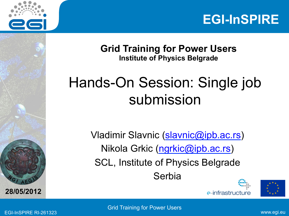



**Grid Training for Power Users Institute of Physics Belgrade** 

#### Hands-On Session: Single job submission

Vladimir Slavnic (slavnic@ipb.ac.rs) Nikola Grkic (ngrkic@ipb.ac.rs) SCL, Institute of Physics Belgrade Serbia





EGI-InSPIRE RI-261323 www.egi.eu Grid Training for Power Users

**A E <sup>G</sup>**

**28/05/2012**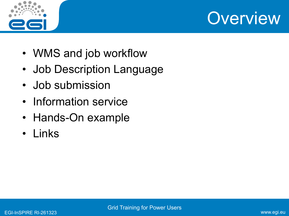



- WMS and job workflow
- Job Description Language
- Job submission
- Information service
- Hands-On example
- Links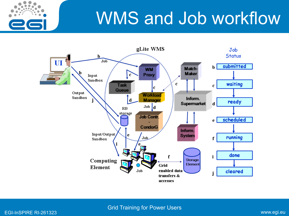## WMS and Job workflow



EGI-InSPIRE RI-261323 www.egi.eu Grid Training for Power Users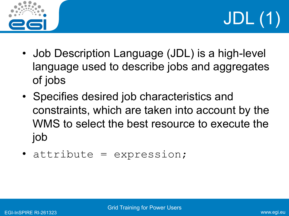



- Job Description Language (JDL) is a high-level language used to describe jobs and aggregates of jobs
- Specifies desired job characteristics and constraints, which are taken into account by the WMS to select the best resource to execute the job
- attribute = expression;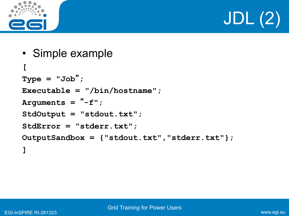

# JDL (2)

```
• Simple example 
[ 
Type = "Job"
; 
Executable = "/bin/hostname"; 
Arguments = " -f'' ;StdOutput = "stdout.txt"; 
StdError = "stderr.txt"; 
OutputSandbox = {"stdout.txt","stderr.txt"}; 
]
```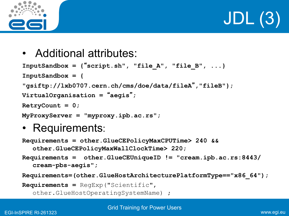

JDL (3)

• Additional attributes:

```
InputSandbox = {"script.sh", "file_A", "file_B", ...} 
InputSandbox = { 
"gsiftp://lxb0707.cern.ch/cms/doe/data/fileA","fileB"}; 
VirtualOrganisation = "aegis"
; 
RetryCount = 0; 
MyProxyServer = "myproxy.ipb.ac.rs";
```
• Requirements:

```
Requirements = other.GlueCEPolicyMaxCPUTime> 240 && 
  other.GlueCEPolicyMaxWallClockTime> 220;
```

```
Requirements = other.GlueCEUniqueID != "cream.ipb.ac.rs:8443/
  cream-pbs-aegis";
```

```
Requirements=(other.GlueHostArchitecturePlatformType=="x86_64");
```

```
Requirements = RegExp("Scientific",
```

```
other.GlueHostOperatingSystemName) ;
```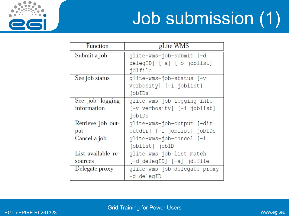

# Job submission (1)

| Function           | gLite WMS                    |
|--------------------|------------------------------|
| Submit a job       | qlite-wms-job-submit [-d     |
|                    | delegID] [-a] [-o joblist]   |
|                    | jdlfile                      |
| See job status     | qlite-wms-job-status [-v     |
|                    | verbosity] [-i joblist]      |
|                    | jobIDs                       |
| See job logging    | glite-wms-job-logging-info   |
| information        | [-v verbosity] [-i joblist]  |
|                    | jobIDs                       |
| Retrieve job out-  | glite-wms-job-output [-dir   |
| put                | outdir] [-i joblist] jobIDs  |
| Cancel a job       | qlite-wms-job-cancel [-i     |
|                    | joblist] jobID               |
| List available re- | qlite-wms-job-list-match     |
| sources            | [-d delegID] [-a] jdlfile    |
| Delegate proxy     | qlite-wms-job-delegate-proxy |
|                    | -d delegID                   |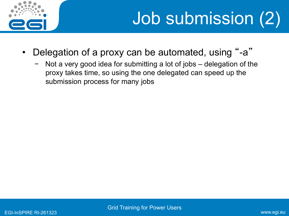

- Delegation of a proxy can be automated, using "-a"
	- Not a very good idea for submitting a lot of jobs delegation of the proxy takes time, so using the one delegated can speed up the submission process for many jobs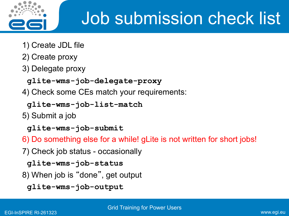

### Job submission check list

- 1) Create JDL file
- 2) Create proxy
- 3) Delegate proxy

```
 glite-wms-job-delegate-proxy
```
4) Check some CEs match your requirements:

 **glite-wms-job-list-match**

- 5) Submit a job
	- **glite-wms-job-submit**
- 6) Do something else for a while! gLite is not written for short jobs!
- 7) Check job status occasionally
	- **glite-wms-job-status**
- 8) When job is "done", get output
	- **glite-wms-job-output**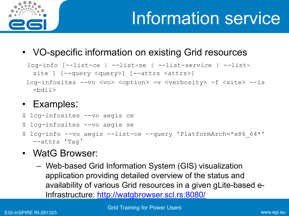

• VO-specific information on existing Grid resources

```
lcg-info [--list-ce | --list-se | --list-service | --list-
 site ] [--query <query>] [--attrs <attrs>]
 lcg-infosites --vo <vo> <option> -v <verbosity> -f <site> --is
```
#### • Examples:

- \$ lcg-infosites --vo aegis ce
- \$ lcg-infosites --vo aegis se
- lcg-info --vo aegis --list-ce --query 'PlatformArch=\*x86 64\*' --attrs 'Tag'
- WatG Browser:
	- Web-based Grid Information System (GIS) visualization application providing detailed overview of the status and availability of various Grid resources in a given gLite-based e-Infrastructure: http://watgbrowser.scl.rs:8080/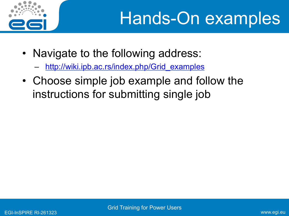

- Navigate to the following address:
	- http://wiki.ipb.ac.rs/index.php/Grid\_examples
- Choose simple job example and follow the instructions for submitting single job